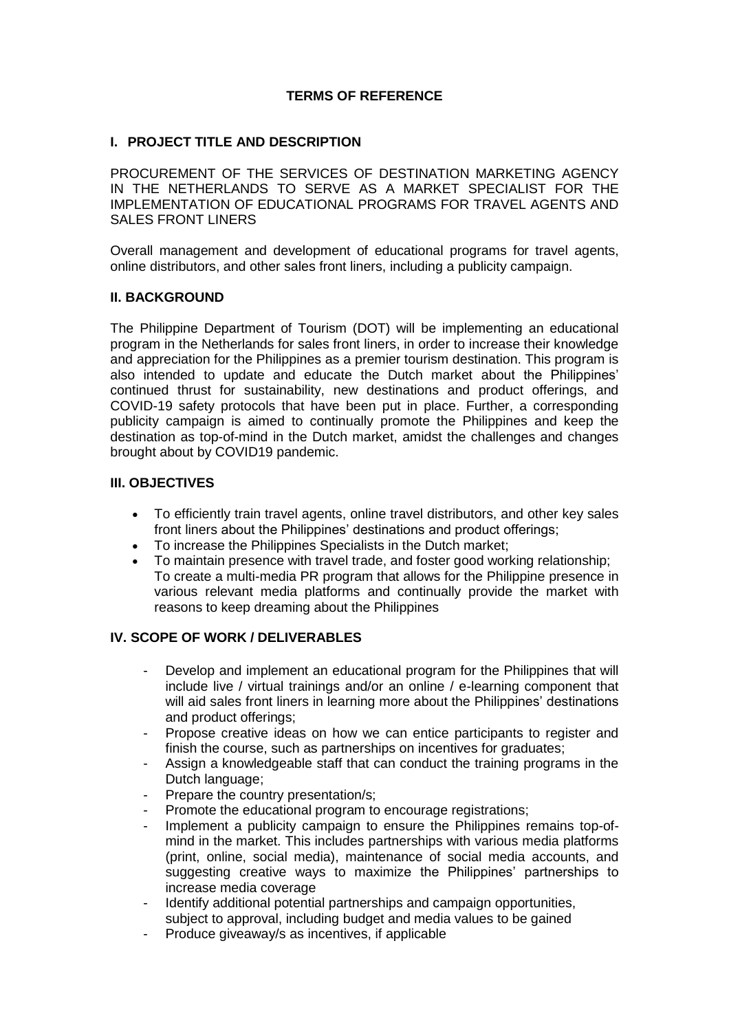# **TERMS OF REFERENCE**

## **I. PROJECT TITLE AND DESCRIPTION**

PROCUREMENT OF THE SERVICES OF DESTINATION MARKETING AGENCY IN THE NETHERLANDS TO SERVE AS A MARKET SPECIALIST FOR THE IMPLEMENTATION OF EDUCATIONAL PROGRAMS FOR TRAVEL AGENTS AND SALES FRONT LINERS

Overall management and development of educational programs for travel agents, online distributors, and other sales front liners, including a publicity campaign.

#### **II. BACKGROUND**

The Philippine Department of Tourism (DOT) will be implementing an educational program in the Netherlands for sales front liners, in order to increase their knowledge and appreciation for the Philippines as a premier tourism destination. This program is also intended to update and educate the Dutch market about the Philippines' continued thrust for sustainability, new destinations and product offerings, and COVID-19 safety protocols that have been put in place. Further, a corresponding publicity campaign is aimed to continually promote the Philippines and keep the destination as top-of-mind in the Dutch market, amidst the challenges and changes brought about by COVID19 pandemic.

## **III. OBJECTIVES**

- To efficiently train travel agents, online travel distributors, and other key sales front liners about the Philippines' destinations and product offerings;
- To increase the Philippines Specialists in the Dutch market;
- To maintain presence with travel trade, and foster good working relationship; To create a multi-media PR program that allows for the Philippine presence in various relevant media platforms and continually provide the market with reasons to keep dreaming about the Philippines

## **IV. SCOPE OF WORK / DELIVERABLES**

- Develop and implement an educational program for the Philippines that will include live / virtual trainings and/or an online / e-learning component that will aid sales front liners in learning more about the Philippines' destinations and product offerings;
- Propose creative ideas on how we can entice participants to register and finish the course, such as partnerships on incentives for graduates;
- Assign a knowledgeable staff that can conduct the training programs in the Dutch language;
- Prepare the country presentation/s;
- Promote the educational program to encourage registrations;
- Implement a publicity campaign to ensure the Philippines remains top-ofmind in the market. This includes partnerships with various media platforms (print, online, social media), maintenance of social media accounts, and suggesting creative ways to maximize the Philippines' partnerships to increase media coverage
- Identify additional potential partnerships and campaign opportunities, subject to approval, including budget and media values to be gained
- Produce giveaway/s as incentives, if applicable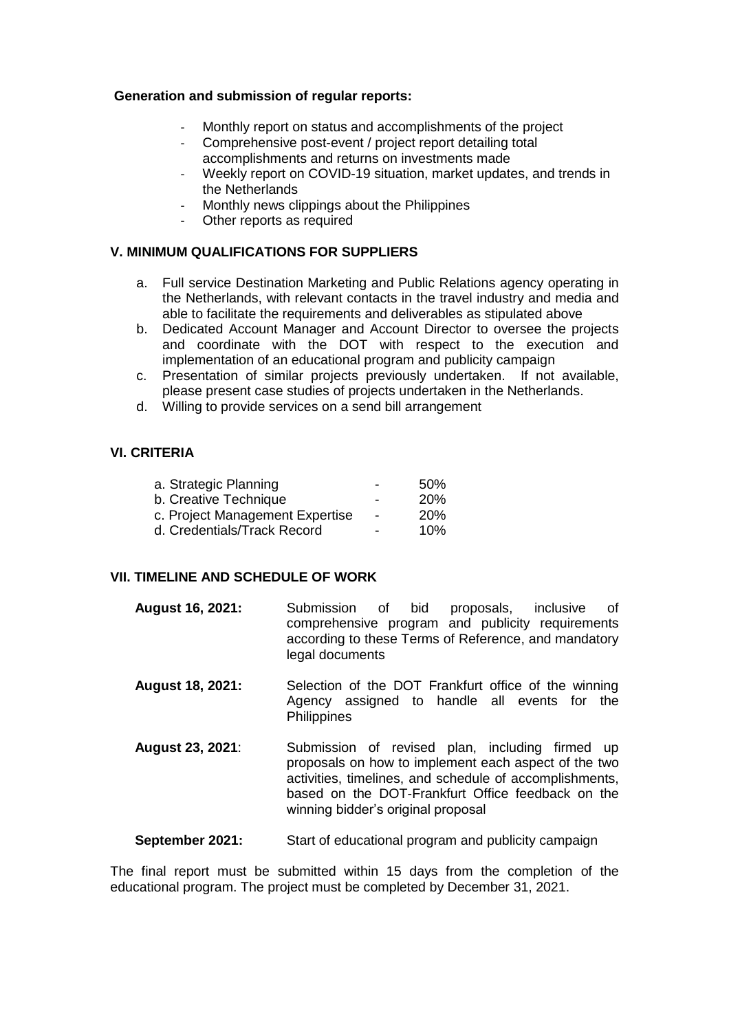#### **Generation and submission of regular reports:**

- Monthly report on status and accomplishments of the project
- Comprehensive post-event / project report detailing total accomplishments and returns on investments made
- Weekly report on COVID-19 situation, market updates, and trends in the Netherlands
- Monthly news clippings about the Philippines
- Other reports as required

## **V. MINIMUM QUALIFICATIONS FOR SUPPLIERS**

- a. Full service Destination Marketing and Public Relations agency operating in the Netherlands, with relevant contacts in the travel industry and media and able to facilitate the requirements and deliverables as stipulated above
- b. Dedicated Account Manager and Account Director to oversee the projects and coordinate with the DOT with respect to the execution and implementation of an educational program and publicity campaign
- c. Presentation of similar projects previously undertaken. If not available, please present case studies of projects undertaken in the Netherlands.
- d. Willing to provide services on a send bill arrangement

#### **VI. CRITERIA**

| -                        | 50%        |
|--------------------------|------------|
|                          | <b>20%</b> |
| $\overline{\phantom{0}}$ | <b>20%</b> |
| -                        | 10%        |
|                          |            |

## **VII. TIMELINE AND SCHEDULE OF WORK**

- **August 16, 2021:** Submission of bid proposals, inclusive of comprehensive program and publicity requirements according to these Terms of Reference, and mandatory legal documents
- **August 18, 2021:** Selection of the DOT Frankfurt office of the winning Agency assigned to handle all events for the **Philippines**
- **August 23, 2021**: Submission of revised plan, including firmed up proposals on how to implement each aspect of the two activities, timelines, and schedule of accomplishments, based on the DOT-Frankfurt Office feedback on the winning bidder's original proposal

**September 2021:** Start of educational program and publicity campaign

The final report must be submitted within 15 days from the completion of the educational program. The project must be completed by December 31, 2021.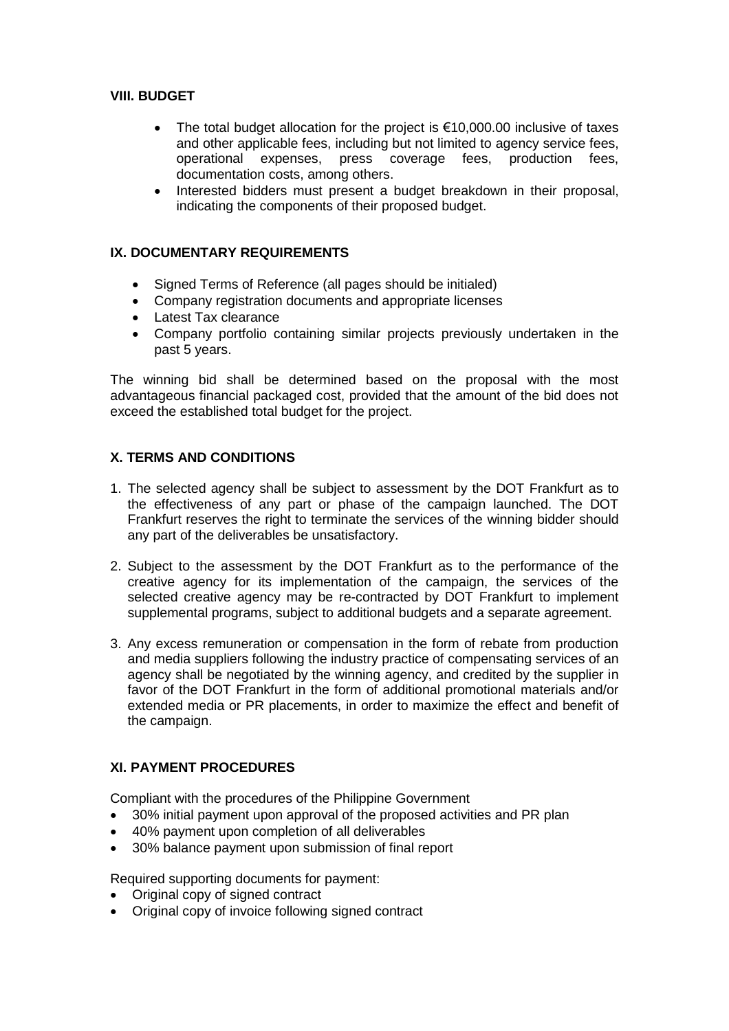# **VIII. BUDGET**

- The total budget allocation for the project is €10,000.00 inclusive of taxes and other applicable fees, including but not limited to agency service fees, operational expenses, press coverage fees, production fees. press coverage fees, production fees, documentation costs, among others.
- Interested bidders must present a budget breakdown in their proposal, indicating the components of their proposed budget.

# **IX. DOCUMENTARY REQUIREMENTS**

- Signed Terms of Reference (all pages should be initialed)
- Company registration documents and appropriate licenses
- Latest Tax clearance
- Company portfolio containing similar projects previously undertaken in the past 5 years.

The winning bid shall be determined based on the proposal with the most advantageous financial packaged cost, provided that the amount of the bid does not exceed the established total budget for the project.

## **X. TERMS AND CONDITIONS**

- 1. The selected agency shall be subject to assessment by the DOT Frankfurt as to the effectiveness of any part or phase of the campaign launched. The DOT Frankfurt reserves the right to terminate the services of the winning bidder should any part of the deliverables be unsatisfactory.
- 2. Subject to the assessment by the DOT Frankfurt as to the performance of the creative agency for its implementation of the campaign, the services of the selected creative agency may be re-contracted by DOT Frankfurt to implement supplemental programs, subject to additional budgets and a separate agreement.
- 3. Any excess remuneration or compensation in the form of rebate from production and media suppliers following the industry practice of compensating services of an agency shall be negotiated by the winning agency, and credited by the supplier in favor of the DOT Frankfurt in the form of additional promotional materials and/or extended media or PR placements, in order to maximize the effect and benefit of the campaign.

## **XI. PAYMENT PROCEDURES**

Compliant with the procedures of the Philippine Government

- 30% initial payment upon approval of the proposed activities and PR plan
- 40% payment upon completion of all deliverables
- 30% balance payment upon submission of final report

Required supporting documents for payment:

- Original copy of signed contract
- Original copy of invoice following signed contract